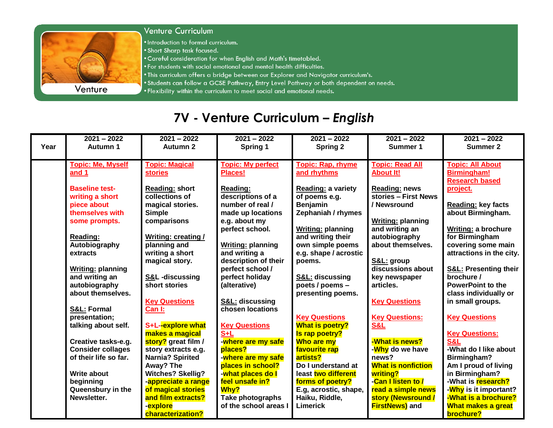

## Venture Curriculum

. Introduction to formal curriculum.

- . Short Sharp task focused.
- . Careful consideration for when English and Math's timetabled.
- . For students with social emotional and mental health difficulties.
- . This curriculum offers a bridge between our Explorer and Navigator curriculum's.
- . Students can follow a GCSE Pathway, Entry Level Pathway or both dependent on needs.
- . Flexibility within the curriculum to meet social and emotional needs.

## 7V - Venture Curriculum - English

|      | $2021 - 2022$            | $2021 - 2022$             | $2021 - 2022$                   | $2021 - 2022$             | $2021 - 2022$             | $2021 - 2022$                    |
|------|--------------------------|---------------------------|---------------------------------|---------------------------|---------------------------|----------------------------------|
| Year | <b>Autumn 1</b>          | <b>Autumn 2</b>           | Spring 1                        | Spring 2                  | Summer 1                  | <b>Summer 2</b>                  |
|      |                          |                           |                                 |                           |                           |                                  |
|      | <b>Topic: Me, Myself</b> | <b>Topic: Magical</b>     | <b>Topic: My perfect</b>        | <b>Topic: Rap, rhyme</b>  | <b>Topic: Read All</b>    | <b>Topic: All About</b>          |
|      | and 1                    | <b>stories</b>            | <b>Places!</b>                  | and rhythms               | <b>About It!</b>          | <b>Birmingham!</b>               |
|      |                          |                           |                                 |                           |                           | <b>Research based</b>            |
|      | <b>Baseline test-</b>    | <b>Reading: short</b>     | Reading:                        | <b>Reading: a variety</b> | <b>Reading: news</b>      | project.                         |
|      | writing a short          | collections of            | descriptions of a               | of poems e.g.             | stories - First News      |                                  |
|      | piece about              | magical stories.          | number of real /                | <b>Benjamin</b>           | / Newsround               | <b>Reading: key facts</b>        |
|      | themselves with          | <b>Simple</b>             | made up locations               | Zephaniah / rhymes        |                           | about Birmingham.                |
|      | some prompts.            | comparisons               | e.g. about my                   |                           | <b>Writing: planning</b>  |                                  |
|      |                          |                           | perfect school.                 | <b>Writing: planning</b>  | and writing an            | <b>Writing: a brochure</b>       |
|      | Reading:                 | <b>Writing: creating/</b> |                                 | and writing their         | autobiography             | for Birmingham                   |
|      | Autobiography            | planning and              | <b>Writing: planning</b>        | own simple poems          | about themselves.         | covering some main               |
|      | extracts                 | writing a short           | and writing a                   | e.g. shape / acrostic     |                           | attractions in the city.         |
|      |                          | magical story.            | description of their            | poems.                    | S&L: group                |                                  |
|      | <b>Writing: planning</b> |                           | perfect school /                |                           | discussions about         | <b>S&amp;L: Presenting their</b> |
|      | and writing an           | S&L -discussing           | perfect holiday                 | S&L: discussing           | key newspaper             | brochure /                       |
|      | autobiography            | short stories             | (alterative)                    | poets / poems -           | articles.                 | <b>PowerPoint to the</b>         |
|      | about themselves.        |                           |                                 | presenting poems.         |                           | class individually or            |
|      |                          | <b>Key Questions</b>      | <b>S&amp;L: discussing</b>      |                           | <b>Key Questions</b>      | in small groups.                 |
|      | S&L: Formal              | Can I:                    | chosen locations                |                           |                           |                                  |
|      | presentation;            |                           |                                 | <b>Key Questions</b>      | <b>Key Questions:</b>     | <b>Key Questions</b>             |
|      | talking about self.      | S+L--explore what         | <b>Key Questions</b>            | <b>What is poetry?</b>    | S&L                       |                                  |
|      |                          | makes a magical           | $S+L$                           | Is rap poetry?            |                           | <b>Key Questions:</b>            |
|      | Creative tasks-e.g.      | story? great film /       | -where are my safe              | Who are my                | -What is news?            | <b>S&amp;L</b>                   |
|      | <b>Consider collages</b> | story extracts e.g.       | places?                         | favourite rap             | - <b>Why</b> do we have   | -What do I like about            |
|      | of their life so far.    | <b>Narnia? Spirited</b>   | -where are my safe              | artists?                  | news?                     | Birmingham?                      |
|      |                          | Away? The                 | places in school?               | Do I understand at        | <b>What is nonfiction</b> | Am I proud of living             |
|      | <b>Write about</b>       | <b>Witches? Skellig?</b>  | - <mark>what places do I</mark> | least two different       | writing?                  | in Birmingham?                   |
|      | beginning                | -appreciate a range       | feel unsafe in?                 | forms of poetry?          | -Can I listen to /        | -What is research?               |
|      | Queensbury in the        | of magical stories        | Why?                            | E.g, acrostic, shape,     | read a simple news        | - <b>Why</b> is it important?    |
|      | Newsletter.              | and film extracts?        | Take photographs                | Haiku, Riddle,            | story (Newsround /        | -What is a brochure?             |
|      |                          | -explore                  | of the school areas I           | <b>Limerick</b>           | <b>FirstNews)</b> and     | What makes a great               |
|      |                          | characterization?         |                                 |                           |                           | brochure?                        |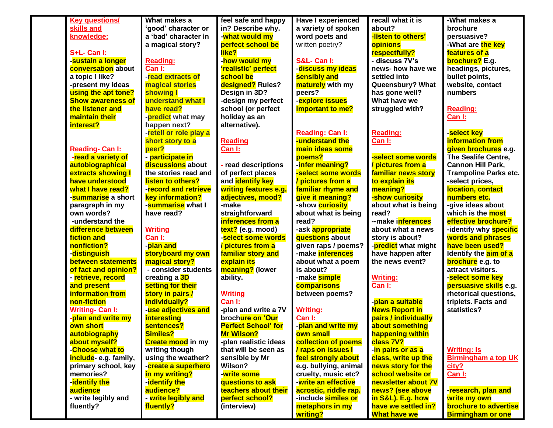| <b>Key questions/</b>            | What makes a             | feel safe and happy          | <b>Have I experienced</b>                    | recall what it is                        | -What makes a                                     |
|----------------------------------|--------------------------|------------------------------|----------------------------------------------|------------------------------------------|---------------------------------------------------|
| skills and                       | 'good' character or      | in? Describe why.            | a variety of spoken                          | about?                                   | brochure                                          |
| knowledge:                       | a 'bad' character in     | - <mark>what would my</mark> | word poets and                               | -listen to others'                       | persuasive?                                       |
|                                  | a magical story?         | perfect school be            | written poetry?                              | opinions                                 | -What are the key                                 |
| S+L- Can I:                      |                          | like?                        |                                              | respectfully?                            | features of a                                     |
| -sustain a longer                | <b>Reading:</b>          | - <mark>how would my</mark>  | S&L- Can I:                                  | - discuss 7V's                           | brochure? E.g.                                    |
| conversation about               | Can I:                   | 'realistic' perfect          | - <mark>discuss my ideas</mark>              | news- how have we                        | headings, pictures,                               |
| a topic I like?                  | -read extracts of        | school be                    | sensibly and                                 | settled into                             | bullet points,                                    |
| -present my ideas                | magical stories          | designed? Rules?             | maturely with my                             | Queensbury? What                         | website, contact                                  |
| using the apt tone?              | showing I                | Design in 3D?                | peers?                                       | has gone well?                           | numbers                                           |
| <b>Show awareness of</b>         | understand what I        | -design my perfect           | -explore issues                              | What have we                             |                                                   |
| the listener and                 | have read?               | school (or perfect           | important to me?                             | struggled with?                          | <b>Reading:</b>                                   |
| maintain their                   | -predict what may        | holiday as an                |                                              |                                          | Can I:                                            |
| interest?                        | happen next?             | alternative).                |                                              |                                          |                                                   |
|                                  | -retell or role play a   |                              | <b>Reading: Can I:</b>                       | <b>Reading:</b>                          | -select key                                       |
|                                  | short story to a         | <b>Reading</b>               | understand the                               | Can I:                                   | <b>information from</b>                           |
| <b>Reading- Can I:</b>           | peer?                    | Can I:                       | main ideas some                              |                                          | given brochures e.g.                              |
| -read a variety of               | - participate in         |                              | poems?                                       | -select some words                       | The Sealife Centre,                               |
| autobiographical                 | discussions about        | - read descriptions          | -infer meaning?                              | / pictures from a                        | <b>Cannon Hill Park,</b>                          |
| extracts showing I               | the stories read and     | of perfect places            | -select some words                           | familiar news story                      | <b>Trampoline Parks etc.</b>                      |
| have understood                  | <b>listen to others?</b> | and identify key             | / pictures from a                            | to explain its                           | -select prices,                                   |
| what I have read?                | -record and retrieve     | writing features e.g.        | familiar rhyme and                           | meaning?                                 | location, contact                                 |
| - <mark>summarise</mark> a short | <b>key information?</b>  | adjectives, mood?            | give it meaning?                             | -show curiosity                          | numbers etc.                                      |
| paragraph in my                  | -summarise what I        | -make                        | -show curiosity                              | about what is being                      | -give ideas about                                 |
| own words?                       | have read?               | straightforward              | about what is being                          | read?                                    | which is the <b>most</b>                          |
| -understand the                  |                          | inferences from a            | read?                                        | --make inferences                        | effective brochure?                               |
| difference between               | <b>Writing</b>           | text? (e.g. mood)            | -ask appropriate                             | about what a news                        | -identify why <b>specific</b>                     |
| fiction and                      | Can I:                   | -select some words           | questions about                              | story is about?                          | words and phrases                                 |
| nonfiction?                      | -plan and                | / pictures from a            | given raps / poems?                          | -predict what might                      | have been used?                                   |
| - <mark>distinguish</mark>       | storyboard my own        | familiar story and           | -make inferences                             | have happen after                        | Identify the aim of a                             |
| between statements               | magical story?           | <mark>explain its</mark>     | about what a poem                            | the news event?                          | brochure e.g. to                                  |
| of fact and opinion?             | - consider students      | meaning? (lower              | is about?                                    |                                          | attract visitors.                                 |
| - <mark>retrieve, record</mark>  | creating a 3D            | ability.                     | -make <mark>simple</mark>                    | <b>Writing:</b>                          | -select some key                                  |
| and present                      | setting for their        |                              | comparisons                                  | Can I:                                   | persuasive skills e.g.                            |
| information from                 | story in pairs /         | <b>Writing</b>               | between poems?                               |                                          | rhetorical questions,                             |
| non-fiction                      | individually?            | Can I:                       |                                              | - <mark>plan a suitable</mark>           | triplets. Facts and                               |
| <b>Writing- Can I:</b>           | -use adjectives and      | -plan and write a 7V         | <b>Writing:</b>                              | <b>News Report in</b>                    | statistics?                                       |
| - <mark>plan and write my</mark> | <b>interesting</b>       | brochure on 'Our             | Can I:                                       | pairs / individually                     |                                                   |
| own short                        | sentences?               | <b>Perfect School' for</b>   | - <mark>plan and write my</mark>             | about something                          |                                                   |
| autobiography                    | Similes?                 | Mr Wilson?                   | own small                                    | happening within                         |                                                   |
| about myself?                    | <b>Create mood in my</b> | -plan realistic ideas        | collection of poems                          | class 7V?                                |                                                   |
| -Choose what to                  | writing though           | that will be seen as         | / raps on issues I                           | - <mark>in pairs or as a</mark>          | <b>Writing: Is</b>                                |
| include- e.g. family,            | using the weather?       | sensible by Mr               | feel strongly about                          | class, write up the                      | <b>Birmingham a top UK</b>                        |
| primary school, key              | -create a superhero      | Wilson?                      | e.g. bullying, animal                        | news story for the                       |                                                   |
| memories?                        | in my writing?           | -write some                  | cruelty, music etc?                          | school website or                        | city?                                             |
| -identify the                    | -identify the            | questions to ask             | -write an effective                          | newsletter about 7V                      | Can I:                                            |
|                                  | audience?                | teachers about their         |                                              |                                          |                                                   |
| audience                         |                          | perfect school?              | acrostic, riddle rap.<br>-include similes or | news? (see above                         | - <mark>research, plan and</mark><br>write my own |
| - write legibly and              | - write legibly and      |                              | metaphors in my                              | in S&L). E.g. how<br>have we settled in? | <b>brochure to advertise</b>                      |
| fluently?                        | fluently?                | (interview)                  |                                              |                                          |                                                   |
|                                  |                          |                              | writing?                                     | <b>What have we</b>                      | <b>Birmingham or one</b>                          |